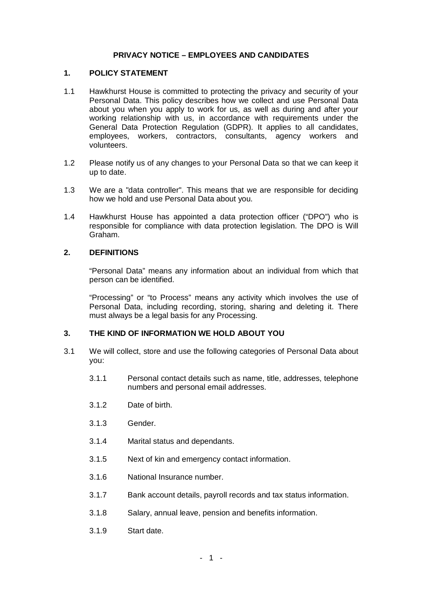### **PRIVACY NOTICE – EMPLOYEES AND CANDIDATES**

#### **1. POLICY STATEMENT**

- 1.1 Hawkhurst House is committed to protecting the privacy and security of your Personal Data. This policy describes how we collect and use Personal Data about you when you apply to work for us, as well as during and after your working relationship with us, in accordance with requirements under the General Data Protection Regulation (GDPR). It applies to all candidates, employees, workers, contractors, consultants, agency workers and volunteers.
- 1.2 Please notify us of any changes to your Personal Data so that we can keep it up to date.
- 1.3 We are a "data controller". This means that we are responsible for deciding how we hold and use Personal Data about you.
- 1.4 Hawkhurst House has appointed a data protection officer ("DPO") who is responsible for compliance with data protection legislation. The DPO is Will Graham.

## **2. DEFINITIONS**

"Personal Data" means any information about an individual from which that person can be identified.

"Processing" or "to Process" means any activity which involves the use of Personal Data, including recording, storing, sharing and deleting it. There must always be a legal basis for any Processing.

### **3. THE KIND OF INFORMATION WE HOLD ABOUT YOU**

- 3.1 We will collect, store and use the following categories of Personal Data about you:
	- 3.1.1 Personal contact details such as name, title, addresses, telephone numbers and personal email addresses.
	- 3.1.2 Date of birth.
	- 3.1.3 Gender.
	- 3.1.4 Marital status and dependants.
	- 3.1.5 Next of kin and emergency contact information.
	- 3.1.6 National Insurance number.
	- 3.1.7 Bank account details, payroll records and tax status information.
	- 3.1.8 Salary, annual leave, pension and benefits information.
	- 3.1.9 Start date.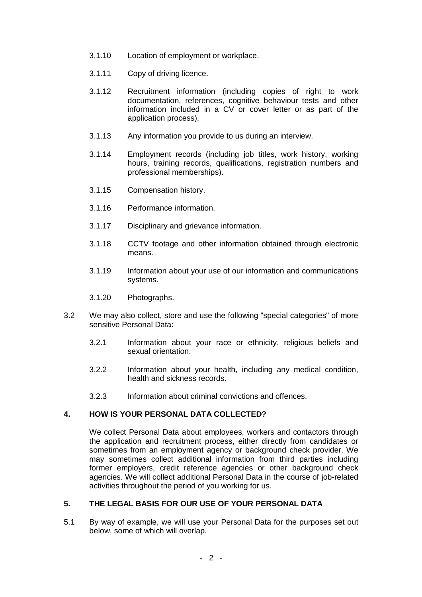- 3.1.10 Location of employment or workplace.
- 3.1.11 Copy of driving licence.
- 3.1.12 Recruitment information (including copies of right to work documentation, references, cognitive behaviour tests and other information included in a CV or cover letter or as part of the application process).
- 3.1.13 Any information you provide to us during an interview.
- 3.1.14 Employment records (including job titles, work history, working hours, training records, qualifications, registration numbers and professional memberships).
- 3.1.15 Compensation history.
- 3.1.16 Performance information.
- 3.1.17 Disciplinary and grievance information.
- 3.1.18 CCTV footage and other information obtained through electronic means.
- 3.1.19 Information about your use of our information and communications systems.
- 3.1.20 Photographs.
- 3.2 We may also collect, store and use the following "special categories" of more sensitive Personal Data:
	- 3.2.1 Information about your race or ethnicity, religious beliefs and sexual orientation.
	- 3.2.2 Information about your health, including any medical condition, health and sickness records.
	- 3.2.3 Information about criminal convictions and offences.

### **4. HOW IS YOUR PERSONAL DATA COLLECTED?**

We collect Personal Data about employees, workers and contactors through the application and recruitment process, either directly from candidates or sometimes from an employment agency or background check provider. We may sometimes collect additional information from third parties including former employers, credit reference agencies or other background check agencies. We will collect additional Personal Data in the course of job-related activities throughout the period of you working for us.

### **5. THE LEGAL BASIS FOR OUR USE OF YOUR PERSONAL DATA**

5.1 By way of example, we will use your Personal Data for the purposes set out below, some of which will overlap.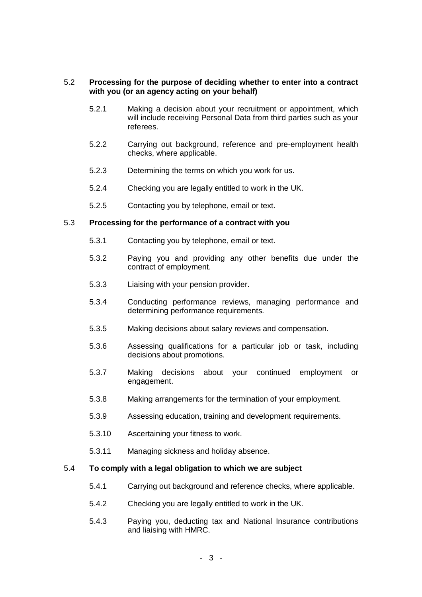#### 5.2 **Processing for the purpose of deciding whether to enter into a contract with you (or an agency acting on your behalf)**

- 5.2.1 Making a decision about your recruitment or appointment, which will include receiving Personal Data from third parties such as your referees.
- 5.2.2 Carrying out background, reference and pre-employment health checks, where applicable.
- 5.2.3 Determining the terms on which you work for us.
- 5.2.4 Checking you are legally entitled to work in the UK.
- 5.2.5 Contacting you by telephone, email or text.

#### 5.3 **Processing for the performance of a contract with you**

- 5.3.1 Contacting you by telephone, email or text.
- 5.3.2 Paying you and providing any other benefits due under the contract of employment.
- 5.3.3 Liaising with your pension provider.
- 5.3.4 Conducting performance reviews, managing performance and determining performance requirements.
- 5.3.5 Making decisions about salary reviews and compensation.
- 5.3.6 Assessing qualifications for a particular job or task, including decisions about promotions.
- 5.3.7 Making decisions about your continued employment or engagement.
- 5.3.8 Making arrangements for the termination of your employment.
- 5.3.9 Assessing education, training and development requirements.
- 5.3.10 Ascertaining your fitness to work.
- 5.3.11 Managing sickness and holiday absence.

#### 5.4 **To comply with a legal obligation to which we are subject**

- 5.4.1 Carrying out background and reference checks, where applicable.
- 5.4.2 Checking you are legally entitled to work in the UK.
- 5.4.3 Paying you, deducting tax and National Insurance contributions and liaising with HMRC.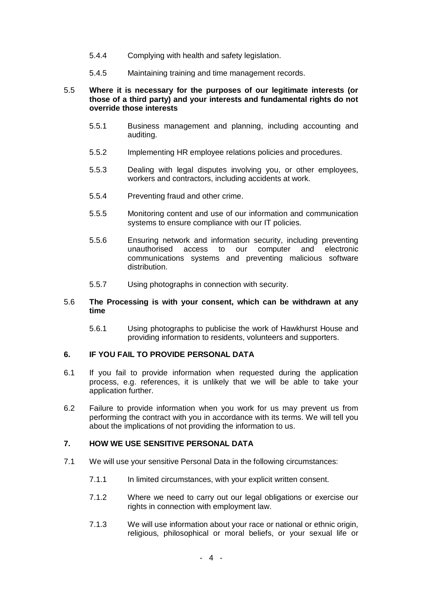- 5.4.4 Complying with health and safety legislation.
- 5.4.5 Maintaining training and time management records.

#### 5.5 **Where it is necessary for the purposes of our legitimate interests (or those of a third party) and your interests and fundamental rights do not override those interests**

- 5.5.1 Business management and planning, including accounting and auditing.
- 5.5.2 Implementing HR employee relations policies and procedures.
- 5.5.3 Dealing with legal disputes involving you, or other employees, workers and contractors, including accidents at work.
- 5.5.4 Preventing fraud and other crime.
- 5.5.5 Monitoring content and use of our information and communication systems to ensure compliance with our IT policies.
- 5.5.6 Ensuring network and information security, including preventing unauthorised access to our computer and electronic communications systems and preventing malicious software distribution.
- 5.5.7 Using photographs in connection with security.

### 5.6 **The Processing is with your consent, which can be withdrawn at any time**

5.6.1 Using photographs to publicise the work of Hawkhurst House and providing information to residents, volunteers and supporters.

#### **6. IF YOU FAIL TO PROVIDE PERSONAL DATA**

- 6.1 If you fail to provide information when requested during the application process, e.g. references, it is unlikely that we will be able to take your application further.
- 6.2 Failure to provide information when you work for us may prevent us from performing the contract with you in accordance with its terms. We will tell you about the implications of not providing the information to us.

### **7. HOW WE USE SENSITIVE PERSONAL DATA**

- 7.1 We will use your sensitive Personal Data in the following circumstances:
	- 7.1.1 In limited circumstances, with your explicit written consent.
	- 7.1.2 Where we need to carry out our legal obligations or exercise our rights in connection with employment law.
	- 7.1.3 We will use information about your race or national or ethnic origin, religious, philosophical or moral beliefs, or your sexual life or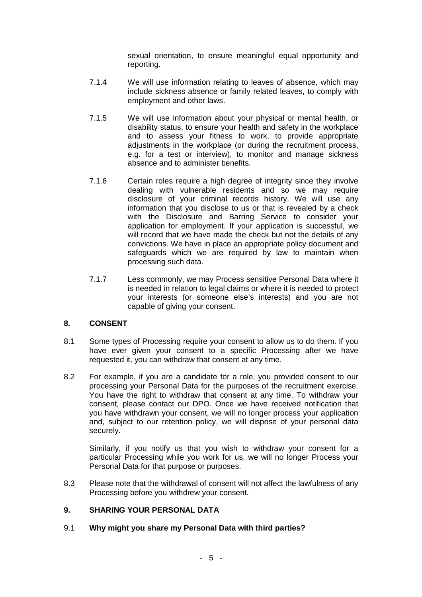sexual orientation, to ensure meaningful equal opportunity and reporting.

- 7.1.4 We will use information relating to leaves of absence, which may include sickness absence or family related leaves, to comply with employment and other laws.
- 7.1.5 We will use information about your physical or mental health, or disability status, to ensure your health and safety in the workplace and to assess your fitness to work, to provide appropriate adjustments in the workplace (or during the recruitment process, e.g. for a test or interview), to monitor and manage sickness absence and to administer benefits.
- 7.1.6 Certain roles require a high degree of integrity since they involve dealing with vulnerable residents and so we may require disclosure of your criminal records history. We will use any information that you disclose to us or that is revealed by a check with the Disclosure and Barring Service to consider your application for employment. If your application is successful, we will record that we have made the check but not the details of any convictions. We have in place an appropriate policy document and safeguards which we are required by law to maintain when processing such data.
- 7.1.7 Less commonly, we may Process sensitive Personal Data where it is needed in relation to legal claims or where it is needed to protect your interests (or someone else's interests) and you are not capable of giving your consent.

# **8. CONSENT**

- 8.1 Some types of Processing require your consent to allow us to do them. If you have ever given your consent to a specific Processing after we have requested it, you can withdraw that consent at any time.
- 8.2 For example, if you are a candidate for a role, you provided consent to our processing your Personal Data for the purposes of the recruitment exercise. You have the right to withdraw that consent at any time. To withdraw your consent, please contact our DPO. Once we have received notification that you have withdrawn your consent, we will no longer process your application and, subject to our retention policy, we will dispose of your personal data securely.

Similarly, if you notify us that you wish to withdraw your consent for a particular Processing while you work for us, we will no longer Process your Personal Data for that purpose or purposes.

8.3 Please note that the withdrawal of consent will not affect the lawfulness of any Processing before you withdrew your consent.

### **9. SHARING YOUR PERSONAL DATA**

### 9.1 **Why might you share my Personal Data with third parties?**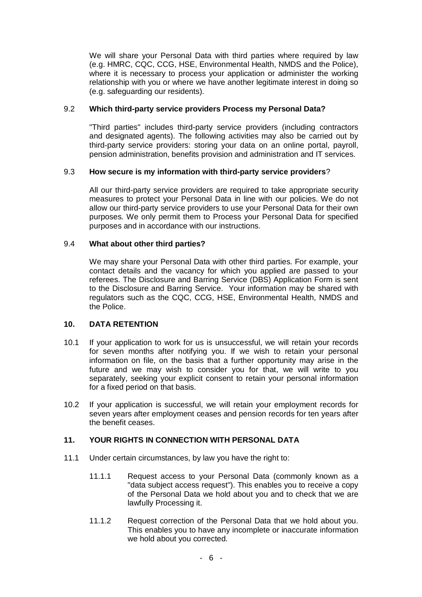We will share your Personal Data with third parties where required by law (e.g. HMRC, CQC, CCG, HSE, Environmental Health, NMDS and the Police), where it is necessary to process your application or administer the working relationship with you or where we have another legitimate interest in doing so (e.g. safeguarding our residents).

### 9.2 **Which third-party service providers Process my Personal Data?**

"Third parties" includes third-party service providers (including contractors and designated agents). The following activities may also be carried out by third-party service providers: storing your data on an online portal, payroll, pension administration, benefits provision and administration and IT services.

#### 9.3 **How secure is my information with third-party service providers**?

All our third-party service providers are required to take appropriate security measures to protect your Personal Data in line with our policies. We do not allow our third-party service providers to use your Personal Data for their own purposes. We only permit them to Process your Personal Data for specified purposes and in accordance with our instructions.

#### 9.4 **What about other third parties?**

We may share your Personal Data with other third parties. For example, your contact details and the vacancy for which you applied are passed to your referees. The Disclosure and Barring Service (DBS) Application Form is sent to the Disclosure and Barring Service. Your information may be shared with regulators such as the CQC, CCG, HSE, Environmental Health, NMDS and the Police.

### **10. DATA RETENTION**

- 10.1 If your application to work for us is unsuccessful, we will retain your records for seven months after notifying you. If we wish to retain your personal information on file, on the basis that a further opportunity may arise in the future and we may wish to consider you for that, we will write to you separately, seeking your explicit consent to retain your personal information for a fixed period on that basis.
- 10.2 If your application is successful, we will retain your employment records for seven years after employment ceases and pension records for ten years after the benefit ceases.

### **11. YOUR RIGHTS IN CONNECTION WITH PERSONAL DATA**

- 11.1 Under certain circumstances, by law you have the right to:
	- 11.1.1 Request access to your Personal Data (commonly known as a "data subject access request"). This enables you to receive a copy of the Personal Data we hold about you and to check that we are lawfully Processing it.
	- 11.1.2 Request correction of the Personal Data that we hold about you. This enables you to have any incomplete or inaccurate information we hold about you corrected.